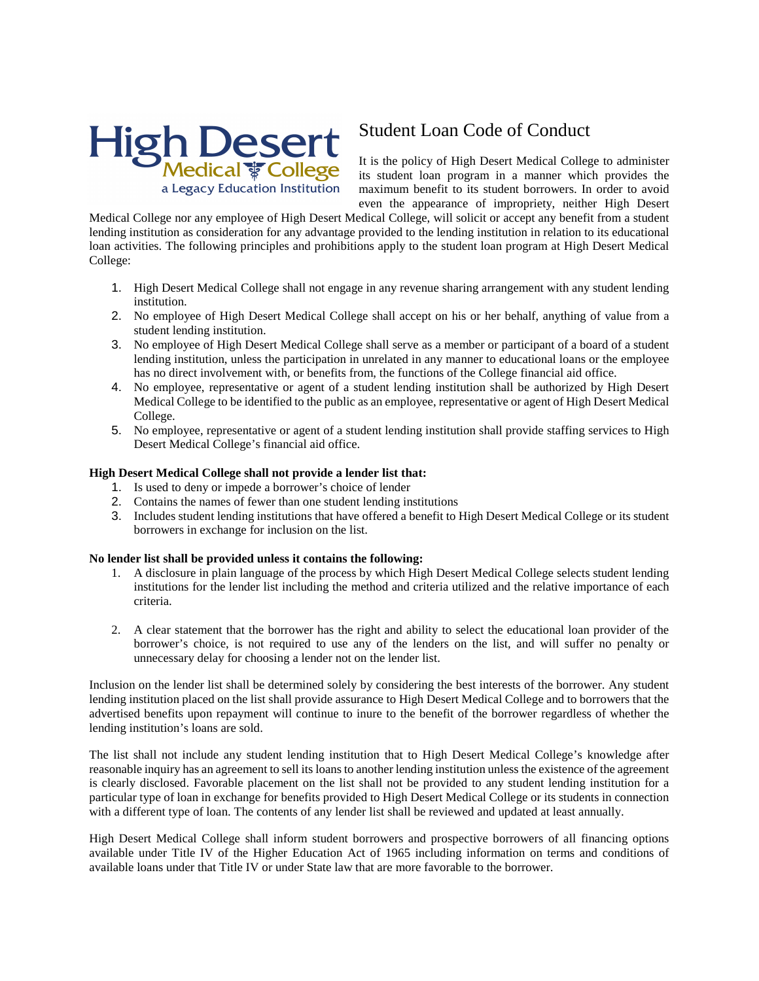

## Student Loan Code of Conduct

It is the policy of High Desert Medical College to administer its student loan program in a manner which provides the maximum benefit to its student borrowers. In order to avoid even the appearance of impropriety, neither High Desert

Medical College nor any employee of High Desert Medical College, will solicit or accept any benefit from a student lending institution as consideration for any advantage provided to the lending institution in relation to its educational loan activities. The following principles and prohibitions apply to the student loan program at High Desert Medical College:

- 1. High Desert Medical College shall not engage in any revenue sharing arrangement with any student lending institution.
- 2. No employee of High Desert Medical College shall accept on his or her behalf, anything of value from a student lending institution.
- 3. No employee of High Desert Medical College shall serve as a member or participant of a board of a student lending institution, unless the participation in unrelated in any manner to educational loans or the employee has no direct involvement with, or benefits from, the functions of the College financial aid office.
- 4. No employee, representative or agent of a student lending institution shall be authorized by High Desert Medical College to be identified to the public as an employee, representative or agent of High Desert Medical College.
- 5. No employee, representative or agent of a student lending institution shall provide staffing services to High Desert Medical College's financial aid office.

## **High Desert Medical College shall not provide a lender list that:**

- 1. Is used to deny or impede a borrower's choice of lender
- 2. Contains the names of fewer than one student lending institutions
- 3. Includes student lending institutions that have offered a benefit to High Desert Medical College or its student borrowers in exchange for inclusion on the list.

## **No lender list shall be provided unless it contains the following:**

- 1. A disclosure in plain language of the process by which High Desert Medical College selects student lending institutions for the lender list including the method and criteria utilized and the relative importance of each criteria.
- 2. A clear statement that the borrower has the right and ability to select the educational loan provider of the borrower's choice, is not required to use any of the lenders on the list, and will suffer no penalty or unnecessary delay for choosing a lender not on the lender list.

Inclusion on the lender list shall be determined solely by considering the best interests of the borrower. Any student lending institution placed on the list shall provide assurance to High Desert Medical College and to borrowers that the advertised benefits upon repayment will continue to inure to the benefit of the borrower regardless of whether the lending institution's loans are sold.

The list shall not include any student lending institution that to High Desert Medical College's knowledge after reasonable inquiry has an agreement to sell its loans to another lending institution unless the existence of the agreement is clearly disclosed. Favorable placement on the list shall not be provided to any student lending institution for a particular type of loan in exchange for benefits provided to High Desert Medical College or its students in connection with a different type of loan. The contents of any lender list shall be reviewed and updated at least annually.

High Desert Medical College shall inform student borrowers and prospective borrowers of all financing options available under Title IV of the Higher Education Act of 1965 including information on terms and conditions of available loans under that Title IV or under State law that are more favorable to the borrower.